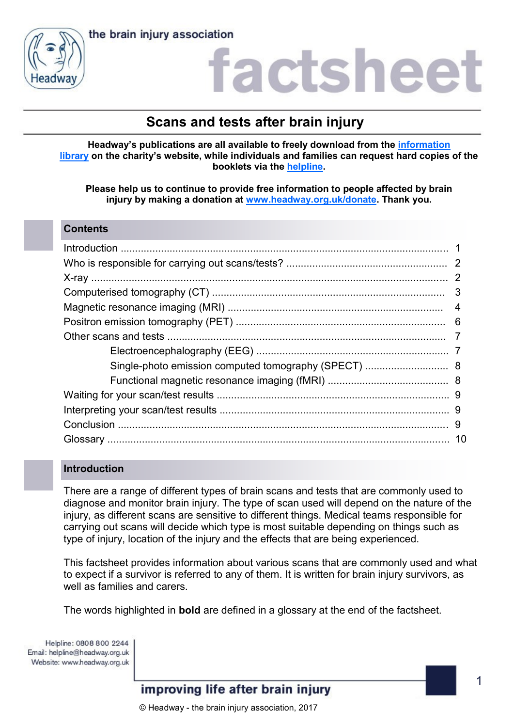



# actshee

# **Scans and tests after brain injury**

**Headway's publications are all available to freely download from the [information](https://www.headway.org.uk/about-brain-injury/individuals/information-library/)  [library](https://www.headway.org.uk/about-brain-injury/individuals/information-library/) on the charity's website, while individuals and families can request hard copies of the booklets via the [helpline.](https://www.headway.org.uk/supporting-you/helpline/)**

**Please help us to continue to provide free information to people affected by brain injury by making a donation at [www.headway.org.uk/donate.](http://www.headway.org.uk/donate) Thank you.**

#### **Contents**

# **Introduction**

There are a range of different types of brain scans and tests that are commonly used to diagnose and monitor brain injury. The type of scan used will depend on the nature of the injury, as different scans are sensitive to different things. Medical teams responsible for carrying out scans will decide which type is most suitable depending on things such as type of injury, location of the injury and the effects that are being experienced.

This factsheet provides information about various scans that are commonly used and what to expect if a survivor is referred to any of them. It is written for brain injury survivors, as well as families and carers.

The words highlighted in **bold** are defined in a glossary at the end of the factsheet.

Helpline: 0808 800 2244 Email: helpline@headway.org.uk Website: www.headway.org.uk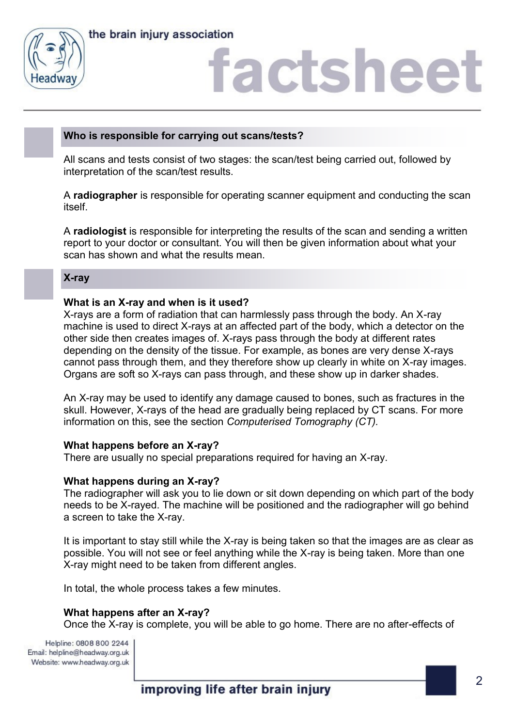



# **Who is responsible for carrying out scans/tests?**

All scans and tests consist of two stages: the scan/test being carried out, followed by interpretation of the scan/test results.

A **radiographer** is responsible for operating scanner equipment and conducting the scan itself.

A **radiologist** is responsible for interpreting the results of the scan and sending a written report to your doctor or consultant. You will then be given information about what your scan has shown and what the results mean.

#### **X-ray**

#### **What is an X-ray and when is it used?**

X-rays are a form of radiation that can harmlessly pass through the body. An X-ray machine is used to direct X-rays at an affected part of the body, which a detector on the other side then creates images of. X-rays pass through the body at different rates depending on the density of the tissue. For example, as bones are very dense X-rays cannot pass through them, and they therefore show up clearly in white on X-ray images. Organs are soft so X-rays can pass through, and these show up in darker shades.

An X-ray may be used to identify any damage caused to bones, such as fractures in the skull. However, X-rays of the head are gradually being replaced by CT scans. For more information on this, see the section *Computerised Tomography (CT).* 

#### **What happens before an X-ray?**

There are usually no special preparations required for having an X-ray.

#### **What happens during an X-ray?**

The radiographer will ask you to lie down or sit down depending on which part of the body needs to be X-rayed. The machine will be positioned and the radiographer will go behind a screen to take the X-ray.

It is important to stay still while the X-ray is being taken so that the images are as clear as possible. You will not see or feel anything while the X-ray is being taken. More than one X-ray might need to be taken from different angles.

In total, the whole process takes a few minutes.

#### **What happens after an X-ray?**

Once the X-ray is complete, you will be able to go home. There are no after-effects of

Helpline: 0808 800 2244 Email: helpline@headway.org.uk Website: www.headway.org.uk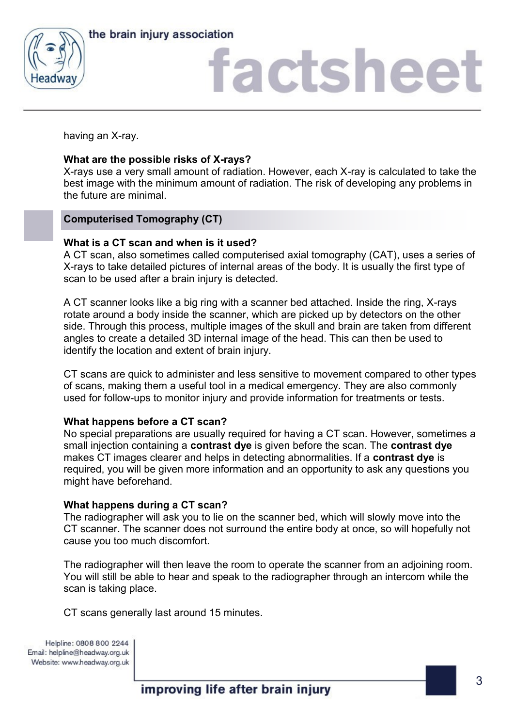



having an X-ray.

# **What are the possible risks of X-rays?**

X-rays use a very small amount of radiation. However, each X-ray is calculated to take the best image with the minimum amount of radiation. The risk of developing any problems in the future are minimal.

# **Computerised Tomography (CT)**

# **What is a CT scan and when is it used?**

A CT scan, also sometimes called computerised axial tomography (CAT), uses a series of X-rays to take detailed pictures of internal areas of the body. It is usually the first type of scan to be used after a brain injury is detected.

A CT scanner looks like a big ring with a scanner bed attached. Inside the ring, X-rays rotate around a body inside the scanner, which are picked up by detectors on the other side. Through this process, multiple images of the skull and brain are taken from different angles to create a detailed 3D internal image of the head. This can then be used to identify the location and extent of brain injury.

CT scans are quick to administer and less sensitive to movement compared to other types of scans, making them a useful tool in a medical emergency. They are also commonly used for follow-ups to monitor injury and provide information for treatments or tests.

# **What happens before a CT scan?**

No special preparations are usually required for having a CT scan. However, sometimes a small injection containing a **contrast dye** is given before the scan. The **contrast dye** makes CT images clearer and helps in detecting abnormalities. If a **contrast dye** is required, you will be given more information and an opportunity to ask any questions you might have beforehand.

# **What happens during a CT scan?**

The radiographer will ask you to lie on the scanner bed, which will slowly move into the CT scanner. The scanner does not surround the entire body at once, so will hopefully not cause you too much discomfort.

The radiographer will then leave the room to operate the scanner from an adjoining room. You will still be able to hear and speak to the radiographer through an intercom while the scan is taking place.

CT scans generally last around 15 minutes.

Helpline: 0808 800 2244 Email: helpline@headway.org.uk Website: www.headway.org.uk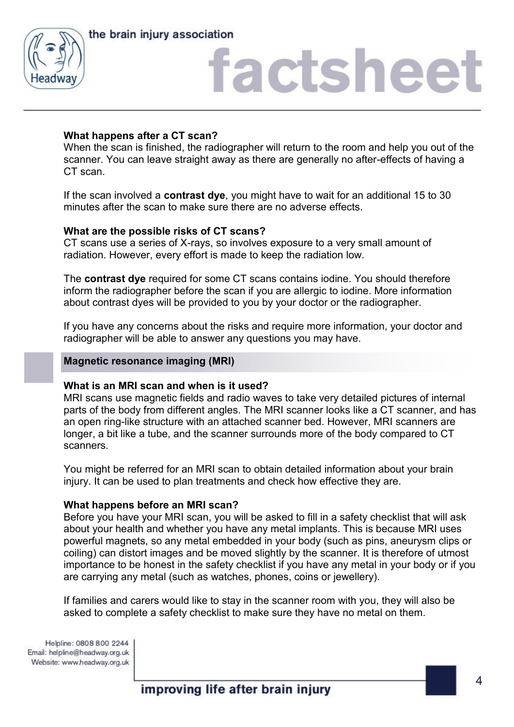



# **What happens after a CT scan?**

When the scan is finished, the radiographer will return to the room and help you out of the scanner. You can leave straight away as there are generally no after-effects of having a CT scan.

If the scan involved a **contrast dye**, you might have to wait for an additional 15 to 30 minutes after the scan to make sure there are no adverse effects.

# **What are the possible risks of CT scans?**

CT scans use a series of X-rays, so involves exposure to a very small amount of radiation. However, every effort is made to keep the radiation low.

The **contrast dye** required for some CT scans contains iodine. You should therefore inform the radiographer before the scan if you are allergic to iodine. More information about contrast dyes will be provided to you by your doctor or the radiographer.

If you have any concerns about the risks and require more information, your doctor and radiographer will be able to answer any questions you may have.

#### **Magnetic resonance imaging (MRI)**

# **What is an MRI scan and when is it used?**

MRI scans use magnetic fields and radio waves to take very detailed pictures of internal parts of the body from different angles. The MRI scanner looks like a CT scanner, and has an open ring-like structure with an attached scanner bed. However, MRI scanners are longer, a bit like a tube, and the scanner surrounds more of the body compared to CT scanners.

You might be referred for an MRI scan to obtain detailed information about your brain injury. It can be used to plan treatments and check how effective they are.

#### **What happens before an MRI scan?**

Before you have your MRI scan, you will be asked to fill in a safety checklist that will ask about your health and whether you have any metal implants. This is because MRI uses powerful magnets, so any metal embedded in your body (such as pins, aneurysm clips or coiling) can distort images and be moved slightly by the scanner. It is therefore of utmost importance to be honest in the safety checklist if you have any metal in your body or if you are carrying any metal (such as watches, phones, coins or jewellery).

If families and carers would like to stay in the scanner room with you, they will also be asked to complete a safety checklist to make sure they have no metal on them.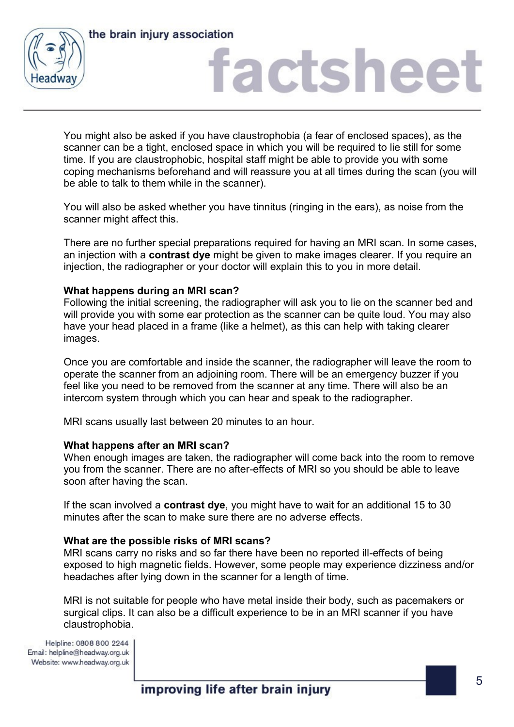



# factshee<sup>®</sup>

You might also be asked if you have claustrophobia (a fear of enclosed spaces), as the scanner can be a tight, enclosed space in which you will be required to lie still for some time. If you are claustrophobic, hospital staff might be able to provide you with some coping mechanisms beforehand and will reassure you at all times during the scan (you will be able to talk to them while in the scanner).

You will also be asked whether you have tinnitus (ringing in the ears), as noise from the scanner might affect this.

There are no further special preparations required for having an MRI scan. In some cases, an injection with a **contrast dye** might be given to make images clearer. If you require an injection, the radiographer or your doctor will explain this to you in more detail.

# **What happens during an MRI scan?**

Following the initial screening, the radiographer will ask you to lie on the scanner bed and will provide you with some ear protection as the scanner can be quite loud. You may also have your head placed in a frame (like a helmet), as this can help with taking clearer images.

Once you are comfortable and inside the scanner, the radiographer will leave the room to operate the scanner from an adjoining room. There will be an emergency buzzer if you feel like you need to be removed from the scanner at any time. There will also be an intercom system through which you can hear and speak to the radiographer.

MRI scans usually last between 20 minutes to an hour.

#### **What happens after an MRI scan?**

When enough images are taken, the radiographer will come back into the room to remove you from the scanner. There are no after-effects of MRI so you should be able to leave soon after having the scan.

If the scan involved a **contrast dye**, you might have to wait for an additional 15 to 30 minutes after the scan to make sure there are no adverse effects.

# **What are the possible risks of MRI scans?**

MRI scans carry no risks and so far there have been no reported ill-effects of being exposed to high magnetic fields. However, some people may experience dizziness and/or headaches after lying down in the scanner for a length of time.

MRI is not suitable for people who have metal inside their body, such as pacemakers or surgical clips. It can also be a difficult experience to be in an MRI scanner if you have claustrophobia.

Helpline: 0808 800 2244 Email: helpline@headway.org.uk Website: www.headway.org.uk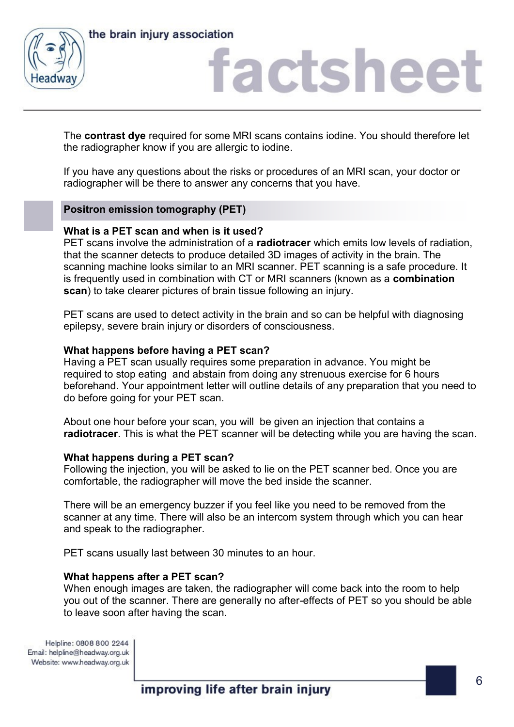



The **contrast dye** required for some MRI scans contains iodine. You should therefore let the radiographer know if you are allergic to iodine.

If you have any questions about the risks or procedures of an MRI scan, your doctor or radiographer will be there to answer any concerns that you have.

# **Positron emission tomography (PET)**

#### **What is a PET scan and when is it used?**

PET scans involve the administration of a **radiotracer** which emits low levels of radiation, that the scanner detects to produce detailed 3D images of activity in the brain. The scanning machine looks similar to an MRI scanner. PET scanning is a safe procedure. It is frequently used in combination with CT or MRI scanners (known as a **combination scan**) to take clearer pictures of brain tissue following an injury.

PET scans are used to detect activity in the brain and so can be helpful with diagnosing epilepsy, severe brain injury or disorders of consciousness.

#### **What happens before having a PET scan?**

Having a PET scan usually requires some preparation in advance. You might be required to stop eating and abstain from doing any strenuous exercise for 6 hours beforehand. Your appointment letter will outline details of any preparation that you need to do before going for your PET scan.

About one hour before your scan, you will be given an injection that contains a **radiotracer**. This is what the PET scanner will be detecting while you are having the scan.

#### **What happens during a PET scan?**

Following the injection, you will be asked to lie on the PET scanner bed. Once you are comfortable, the radiographer will move the bed inside the scanner.

There will be an emergency buzzer if you feel like you need to be removed from the scanner at any time. There will also be an intercom system through which you can hear and speak to the radiographer.

PET scans usually last between 30 minutes to an hour.

#### **What happens after a PET scan?**

When enough images are taken, the radiographer will come back into the room to help you out of the scanner. There are generally no after-effects of PET so you should be able to leave soon after having the scan.

Helpline: 0808 800 2244 Email: helpline@headway.org.uk Website: www.headway.org.uk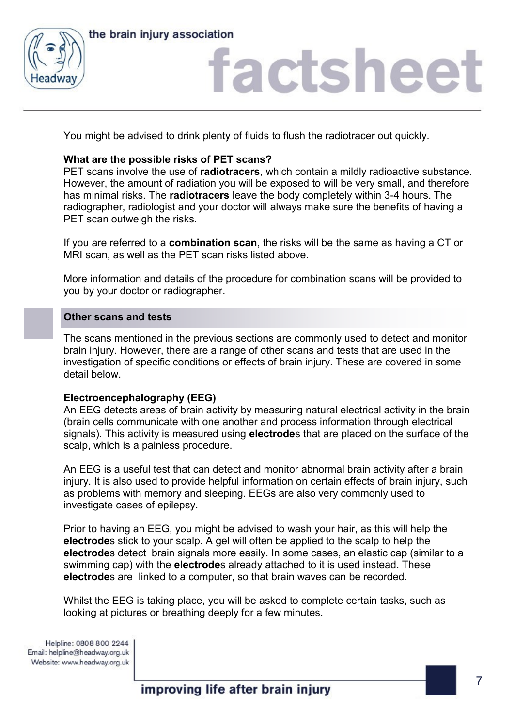



# actshee

You might be advised to drink plenty of fluids to flush the radiotracer out quickly.

# **What are the possible risks of PET scans?**

PET scans involve the use of **radiotracers**, which contain a mildly radioactive substance. However, the amount of radiation you will be exposed to will be very small, and therefore has minimal risks. The **radiotracers** leave the body completely within 3-4 hours. The radiographer, radiologist and your doctor will always make sure the benefits of having a PET scan outweigh the risks.

If you are referred to a **combination scan**, the risks will be the same as having a CT or MRI scan, as well as the PET scan risks listed above.

More information and details of the procedure for combination scans will be provided to you by your doctor or radiographer.

#### **Other scans and tests**

The scans mentioned in the previous sections are commonly used to detect and monitor brain injury. However, there are a range of other scans and tests that are used in the investigation of specific conditions or effects of brain injury. These are covered in some detail below.

# **Electroencephalography (EEG)**

An EEG detects areas of brain activity by measuring natural electrical activity in the brain (brain cells communicate with one another and process information through electrical signals). This activity is measured using **electrode**s that are placed on the surface of the scalp, which is a painless procedure.

An EEG is a useful test that can detect and monitor abnormal brain activity after a brain injury. It is also used to provide helpful information on certain effects of brain injury, such as problems with memory and sleeping. EEGs are also very commonly used to investigate cases of epilepsy.

Prior to having an EEG, you might be advised to wash your hair, as this will help the **electrode**s stick to your scalp. A gel will often be applied to the scalp to help the **electrode**s detect brain signals more easily. In some cases, an elastic cap (similar to a swimming cap) with the **electrode**s already attached to it is used instead. These **electrode**s are linked to a computer, so that brain waves can be recorded.

Whilst the EEG is taking place, you will be asked to complete certain tasks, such as looking at pictures or breathing deeply for a few minutes.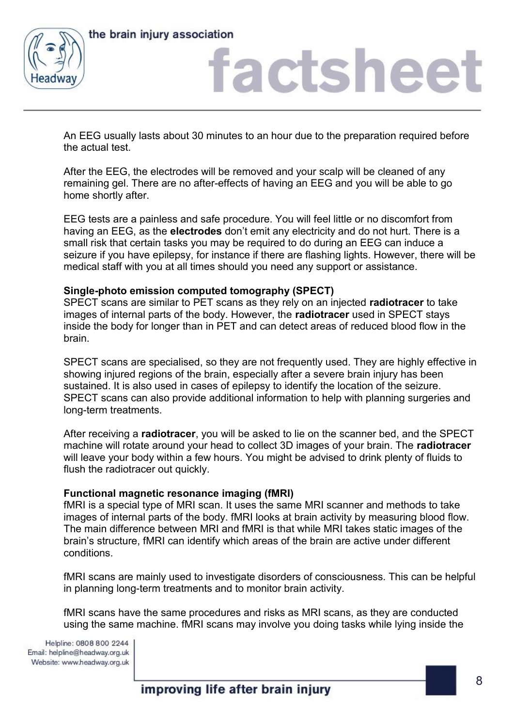

the brain injury association

# factshee<sup>®</sup>

An EEG usually lasts about 30 minutes to an hour due to the preparation required before the actual test.

After the EEG, the electrodes will be removed and your scalp will be cleaned of any remaining gel. There are no after-effects of having an EEG and you will be able to go home shortly after.

EEG tests are a painless and safe procedure. You will feel little or no discomfort from having an EEG, as the **electrodes** don't emit any electricity and do not hurt. There is a small risk that certain tasks you may be required to do during an EEG can induce a seizure if you have epilepsy, for instance if there are flashing lights. However, there will be medical staff with you at all times should you need any support or assistance.

# **Single-photo emission computed tomography (SPECT)**

SPECT scans are similar to PET scans as they rely on an injected **radiotracer** to take images of internal parts of the body. However, the **radiotracer** used in SPECT stays inside the body for longer than in PET and can detect areas of reduced blood flow in the brain.

SPECT scans are specialised, so they are not frequently used. They are highly effective in showing injured regions of the brain, especially after a severe brain injury has been sustained. It is also used in cases of epilepsy to identify the location of the seizure. SPECT scans can also provide additional information to help with planning surgeries and long-term treatments.

After receiving a **radiotracer**, you will be asked to lie on the scanner bed, and the SPECT machine will rotate around your head to collect 3D images of your brain. The **radiotracer**  will leave your body within a few hours. You might be advised to drink plenty of fluids to flush the radiotracer out quickly.

# **Functional magnetic resonance imaging (fMRI)**

fMRI is a special type of MRI scan. It uses the same MRI scanner and methods to take images of internal parts of the body. fMRI looks at brain activity by measuring blood flow. The main difference between MRI and fMRI is that while MRI takes static images of the brain's structure, fMRI can identify which areas of the brain are active under different conditions.

fMRI scans are mainly used to investigate disorders of consciousness. This can be helpful in planning long-term treatments and to monitor brain activity.

fMRI scans have the same procedures and risks as MRI scans, as they are conducted using the same machine. fMRI scans may involve you doing tasks while lying inside the

Helpline: 0808 800 2244 Email: helpline@headway.org.uk Website: www.headway.org.uk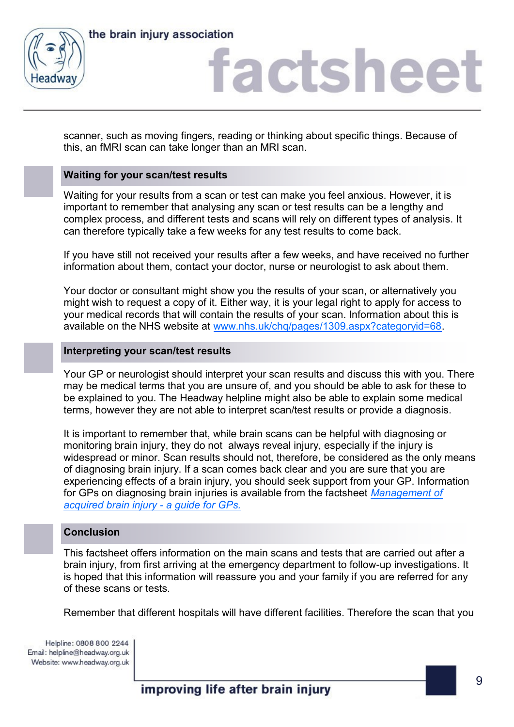

scanner, such as moving fingers, reading or thinking about specific things. Because of this, an fMRI scan can take longer than an MRI scan.

# **Waiting for your scan/test results**

Waiting for your results from a scan or test can make you feel anxious. However, it is important to remember that analysing any scan or test results can be a lengthy and complex process, and different tests and scans will rely on different types of analysis. It can therefore typically take a few weeks for any test results to come back.

If you have still not received your results after a few weeks, and have received no further information about them, contact your doctor, nurse or neurologist to ask about them.

Your doctor or consultant might show you the results of your scan, or alternatively you might wish to request a copy of it. Either way, it is your legal right to apply for access to your medical records that will contain the results of your scan. Information about this is available on the NHS website at [www.nhs.uk/chq/pages/1309.aspx?categoryid=68.](https://www.nhs.uk/chq/pages/1309.aspx?categoryid=68)

#### **Interpreting your scan/test results**

Your GP or neurologist should interpret your scan results and discuss this with you. There may be medical terms that you are unsure of, and you should be able to ask for these to be explained to you. The Headway helpline might also be able to explain some medical terms, however they are not able to interpret scan/test results or provide a diagnosis.

It is important to remember that, while brain scans can be helpful with diagnosing or monitoring brain injury, they do not always reveal injury, especially if the injury is widespread or minor. Scan results should not, therefore, be considered as the only means of diagnosing brain injury. If a scan comes back clear and you are sure that you are experiencing effects of a brain injury, you should seek support from your GP. Information for GPs on diagnosing brain injuries is available from the factsheet *[Management of](https://www.headway.org.uk/media/2807/management-of-acquired-brain-injury-a-guide-for-gps-factsheet.pdf)  [acquired brain injury -](https://www.headway.org.uk/media/2807/management-of-acquired-brain-injury-a-guide-for-gps-factsheet.pdf) a guide for GPs.*

# **Conclusion**

This factsheet offers information on the main scans and tests that are carried out after a brain injury, from first arriving at the emergency department to follow-up investigations. It is hoped that this information will reassure you and your family if you are referred for any of these scans or tests.

Remember that different hospitals will have different facilities. Therefore the scan that you

Helpline: 0808 800 2244 Email: helpline@headway.org.uk Website: www.headway.org.uk